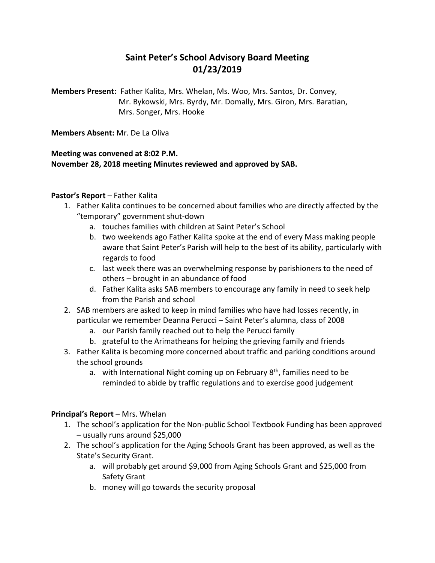# **Saint Peter's School Advisory Board Meeting 01/23/2019**

**Members Present:** Father Kalita, Mrs. Whelan, Ms. Woo, Mrs. Santos, Dr. Convey, Mr. Bykowski, Mrs. Byrdy, Mr. Domally, Mrs. Giron, Mrs. Baratian, Mrs. Songer, Mrs. Hooke

**Members Absent:** Mr. De La Oliva

### **Meeting was convened at 8:02 P.M. November 28, 2018 meeting Minutes reviewed and approved by SAB.**

### **Pastor's Report** – Father Kalita

- 1. Father Kalita continues to be concerned about families who are directly affected by the "temporary" government shut-down
	- a. touches families with children at Saint Peter's School
	- b. two weekends ago Father Kalita spoke at the end of every Mass making people aware that Saint Peter's Parish will help to the best of its ability, particularly with regards to food
	- c. last week there was an overwhelming response by parishioners to the need of others – brought in an abundance of food
	- d. Father Kalita asks SAB members to encourage any family in need to seek help from the Parish and school
- 2. SAB members are asked to keep in mind families who have had losses recently, in particular we remember Deanna Perucci – Saint Peter's alumna, class of 2008
	- a. our Parish family reached out to help the Perucci family
	- b. grateful to the Arimatheans for helping the grieving family and friends
- 3. Father Kalita is becoming more concerned about traffic and parking conditions around the school grounds
	- a. with International Night coming up on February  $8<sup>th</sup>$ , families need to be reminded to abide by traffic regulations and to exercise good judgement

### **Principal's Report** – Mrs. Whelan

- 1. The school's application for the Non-public School Textbook Funding has been approved – usually runs around \$25,000
- 2. The school's application for the Aging Schools Grant has been approved, as well as the State's Security Grant.
	- a. will probably get around \$9,000 from Aging Schools Grant and \$25,000 from Safety Grant
	- b. money will go towards the security proposal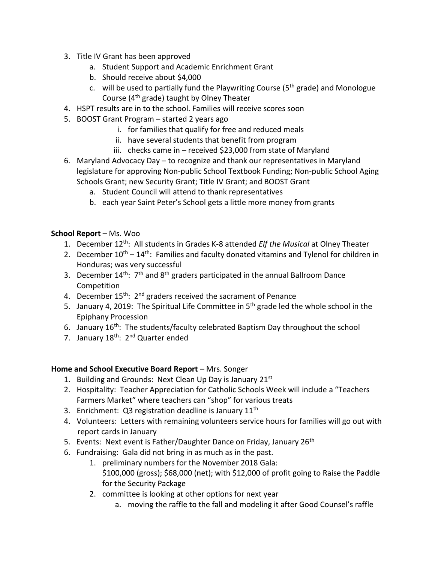- 3. Title IV Grant has been approved
	- a. Student Support and Academic Enrichment Grant
	- b. Should receive about \$4,000
	- c. will be used to partially fund the Playwriting Course ( $5<sup>th</sup>$  grade) and Monologue Course (4th grade) taught by Olney Theater
- 4. HSPT results are in to the school. Families will receive scores soon
- 5. BOOST Grant Program started 2 years ago
	- i. for families that qualify for free and reduced meals
	- ii. have several students that benefit from program
	- iii. checks came in received \$23,000 from state of Maryland
- 6. Maryland Advocacy Day to recognize and thank our representatives in Maryland legislature for approving Non-public School Textbook Funding; Non-public School Aging Schools Grant; new Security Grant; Title IV Grant; and BOOST Grant
	- a. Student Council will attend to thank representatives
	- b. each year Saint Peter's School gets a little more money from grants

### **School Report** – Ms. Woo

- 1. December 12th: All students in Grades K-8 attended *Elf the Musical* at Olney Theater
- 2. December  $10^{th} 14^{th}$ : Families and faculty donated vitamins and Tylenol for children in Honduras; was very successful
- 3. December  $14^{th}$ :  $7^{th}$  and  $8^{th}$  graders participated in the annual Ballroom Dance Competition
- 4. December  $15<sup>th</sup>$ :  $2<sup>nd</sup>$  graders received the sacrament of Penance
- 5. January 4, 2019: The Spiritual Life Committee in 5<sup>th</sup> grade led the whole school in the Epiphany Procession
- 6. January 16<sup>th</sup>: The students/faculty celebrated Baptism Day throughout the school
- 7. January 18<sup>th</sup>: 2<sup>nd</sup> Quarter ended

### **Home and School Executive Board Report** – Mrs. Songer

- 1. Building and Grounds: Next Clean Up Day is January 21st
- 2. Hospitality: Teacher Appreciation for Catholic Schools Week will include a "Teachers Farmers Market" where teachers can "shop" for various treats
- 3. Enrichment: Q3 registration deadline is January  $11<sup>th</sup>$
- 4. Volunteers: Letters with remaining volunteers service hours for families will go out with report cards in January
- 5. Events: Next event is Father/Daughter Dance on Friday, January 26<sup>th</sup>
- 6. Fundraising: Gala did not bring in as much as in the past.
	- 1. preliminary numbers for the November 2018 Gala: \$100,000 (gross); \$68,000 (net); with \$12,000 of profit going to Raise the Paddle for the Security Package
	- 2. committee is looking at other options for next year
		- a. moving the raffle to the fall and modeling it after Good Counsel's raffle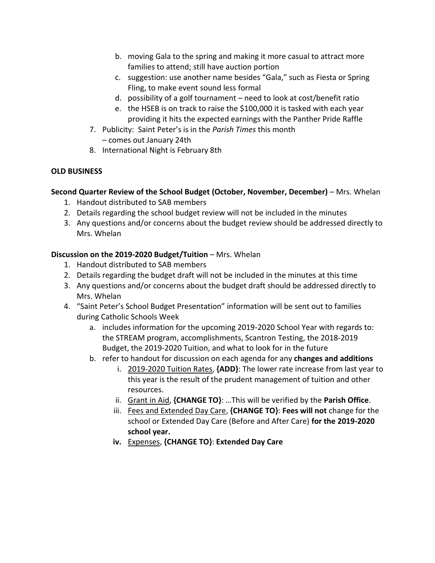- b. moving Gala to the spring and making it more casual to attract more families to attend; still have auction portion
- c. suggestion: use another name besides "Gala," such as Fiesta or Spring Fling, to make event sound less formal
- d. possibility of a golf tournament need to look at cost/benefit ratio
- e. the HSEB is on track to raise the \$100,000 it is tasked with each year providing it hits the expected earnings with the Panther Pride Raffle
- 7. Publicity: Saint Peter's is in the *Parish Times* this month – comes out January 24th
- 8. International Night is February 8th

## **OLD BUSINESS**

# **Second Quarter Review of the School Budget (October, November, December)** – Mrs. Whelan

- 1. Handout distributed to SAB members
- 2. Details regarding the school budget review will not be included in the minutes
- 3. Any questions and/or concerns about the budget review should be addressed directly to Mrs. Whelan

# **Discussion on the 2019-2020 Budget/Tuition** – Mrs. Whelan

- 1. Handout distributed to SAB members
- 2. Details regarding the budget draft will not be included in the minutes at this time
- 3. Any questions and/or concerns about the budget draft should be addressed directly to Mrs. Whelan
- 4. "Saint Peter's School Budget Presentation" information will be sent out to families during Catholic Schools Week
	- a. includes information for the upcoming 2019-2020 School Year with regards to: the STREAM program, accomplishments, Scantron Testing, the 2018-2019 Budget, the 2019-2020 Tuition, and what to look for in the future
	- b. refer to handout for discussion on each agenda for any **changes and additions**
		- i. 2019-2020 Tuition Rates, **{ADD}**: The lower rate increase from last year to this year is the result of the prudent management of tuition and other resources.
		- ii. Grant in Aid, **{CHANGE TO}**: …This will be verified by the **Parish Office**.
		- iii. Fees and Extended Day Care, **{CHANGE TO}**: **Fees will not** change for the school or Extended Day Care (Before and After Care) **for the 2019-2020 school year.**
		- **iv.** Expenses, **{CHANGE TO}**: **Extended Day Care**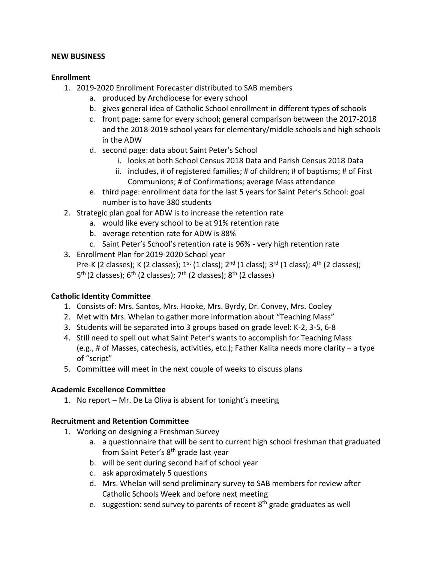#### **NEW BUSINESS**

#### **Enrollment**

- 1. 2019-2020 Enrollment Forecaster distributed to SAB members
	- a. produced by Archdiocese for every school
	- b. gives general idea of Catholic School enrollment in different types of schools
	- c. front page: same for every school; general comparison between the 2017-2018 and the 2018-2019 school years for elementary/middle schools and high schools in the ADW
	- d. second page: data about Saint Peter's School
		- i. looks at both School Census 2018 Data and Parish Census 2018 Data
		- ii. includes, # of registered families; # of children; # of baptisms; # of First Communions; # of Confirmations; average Mass attendance
	- e. third page: enrollment data for the last 5 years for Saint Peter's School: goal number is to have 380 students
- 2. Strategic plan goal for ADW is to increase the retention rate
	- a. would like every school to be at 91% retention rate
	- b. average retention rate for ADW is 88%
	- c. Saint Peter's School's retention rate is 96% very high retention rate
- 3. Enrollment Plan for 2019-2020 School year Pre-K (2 classes); K (2 classes);  $1^{st}$  (1 class);  $2^{nd}$  (1 class);  $3^{rd}$  (1 class);  $4^{th}$  (2 classes); 5<sup>th</sup> (2 classes); 6<sup>th</sup> (2 classes); 7<sup>th</sup> (2 classes); 8<sup>th</sup> (2 classes)

### **Catholic Identity Committee**

- 1. Consists of: Mrs. Santos, Mrs. Hooke, Mrs. Byrdy, Dr. Convey, Mrs. Cooley
- 2. Met with Mrs. Whelan to gather more information about "Teaching Mass"
- 3. Students will be separated into 3 groups based on grade level: K-2, 3-5, 6-8
- 4. Still need to spell out what Saint Peter's wants to accomplish for Teaching Mass (e.g., # of Masses, catechesis, activities, etc.); Father Kalita needs more clarity – a type of "script"
- 5. Committee will meet in the next couple of weeks to discuss plans

### **Academic Excellence Committee**

1. No report – Mr. De La Oliva is absent for tonight's meeting

### **Recruitment and Retention Committee**

- 1. Working on designing a Freshman Survey
	- a. a questionnaire that will be sent to current high school freshman that graduated from Saint Peter's 8th grade last year
	- b. will be sent during second half of school year
	- c. ask approximately 5 questions
	- d. Mrs. Whelan will send preliminary survey to SAB members for review after Catholic Schools Week and before next meeting
	- e. suggestion: send survey to parents of recent 8<sup>th</sup> grade graduates as well